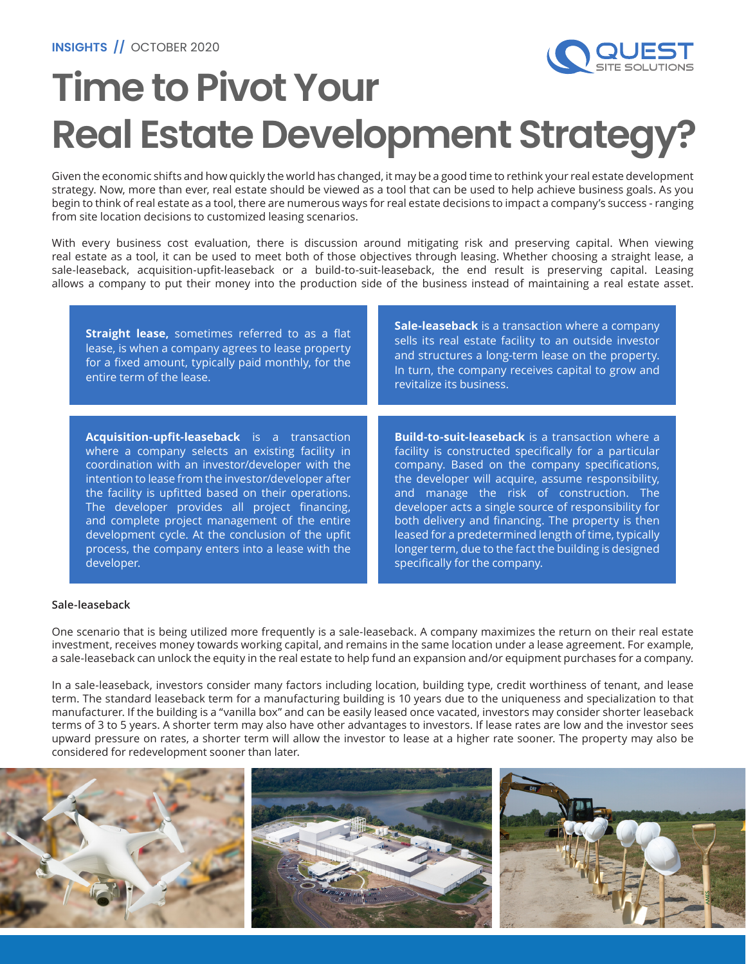

# **Time to Pivot Your Real Estate Development Strategy?**

Given the economic shifts and how quickly the world has changed, it may be a good time to rethink your real estate development strategy. Now, more than ever, real estate should be viewed as a tool that can be used to help achieve business goals. As you begin to think of real estate as a tool, there are numerous ways for real estate decisions to impact a company's success - ranging from site location decisions to customized leasing scenarios.

With every business cost evaluation, there is discussion around mitigating risk and preserving capital. When viewing real estate as a tool, it can be used to meet both of those objectives through leasing. Whether choosing a straight lease, a sale-leaseback, acquisition-upfit-leaseback or a build-to-suit-leaseback, the end result is preserving capital. Leasing allows a company to put their money into the production side of the business instead of maintaining a real estate asset.

| Straight lease, sometimes referred to as a flat<br>lease, is when a company agrees to lease property<br>for a fixed amount, typically paid monthly, for the<br>entire term of the lease. | <b>Sale-leaseback</b> is a transaction where a company<br>sells its real estate facility to an outside investor<br>and structures a long-term lease on the property.<br>In turn, the company receives capital to grow and<br>revitalize its business. |
|------------------------------------------------------------------------------------------------------------------------------------------------------------------------------------------|-------------------------------------------------------------------------------------------------------------------------------------------------------------------------------------------------------------------------------------------------------|
| Acquisition-upfit-leaseback is a transaction                                                                                                                                             | <b>Build-to-suit-leaseback</b> is a transaction where a                                                                                                                                                                                               |
| where a company selects an existing facility in                                                                                                                                          | facility is constructed specifically for a particular                                                                                                                                                                                                 |
| coordination with an investor/developer with the                                                                                                                                         | company. Based on the company specifications,                                                                                                                                                                                                         |
| intention to lease from the investor/developer after                                                                                                                                     | the developer will acquire, assume responsibility,                                                                                                                                                                                                    |
| the facility is upfitted based on their operations.                                                                                                                                      | and manage the risk of construction. The                                                                                                                                                                                                              |
| The developer provides all project financing,                                                                                                                                            | developer acts a single source of responsibility for                                                                                                                                                                                                  |
| and complete project management of the entire                                                                                                                                            | both delivery and financing. The property is then                                                                                                                                                                                                     |
| development cycle. At the conclusion of the upfit                                                                                                                                        | leased for a predetermined length of time, typically                                                                                                                                                                                                  |
| process, the company enters into a lease with the                                                                                                                                        | longer term, due to the fact the building is designed                                                                                                                                                                                                 |
| developer.                                                                                                                                                                               | specifically for the company.                                                                                                                                                                                                                         |

#### **Sale-leaseback**

One scenario that is being utilized more frequently is a sale-leaseback. A company maximizes the return on their real estate investment, receives money towards working capital, and remains in the same location under a lease agreement. For example, a sale-leaseback can unlock the equity in the real estate to help fund an expansion and/or equipment purchases for a company.

In a sale-leaseback, investors consider many factors including location, building type, credit worthiness of tenant, and lease term. The standard leaseback term for a manufacturing building is 10 years due to the uniqueness and specialization to that manufacturer. If the building is a "vanilla box" and can be easily leased once vacated, investors may consider shorter leaseback terms of 3 to 5 years. A shorter term may also have other advantages to investors. If lease rates are low and the investor sees upward pressure on rates, a shorter term will allow the investor to lease at a higher rate sooner. The property may also be considered for redevelopment sooner than later.